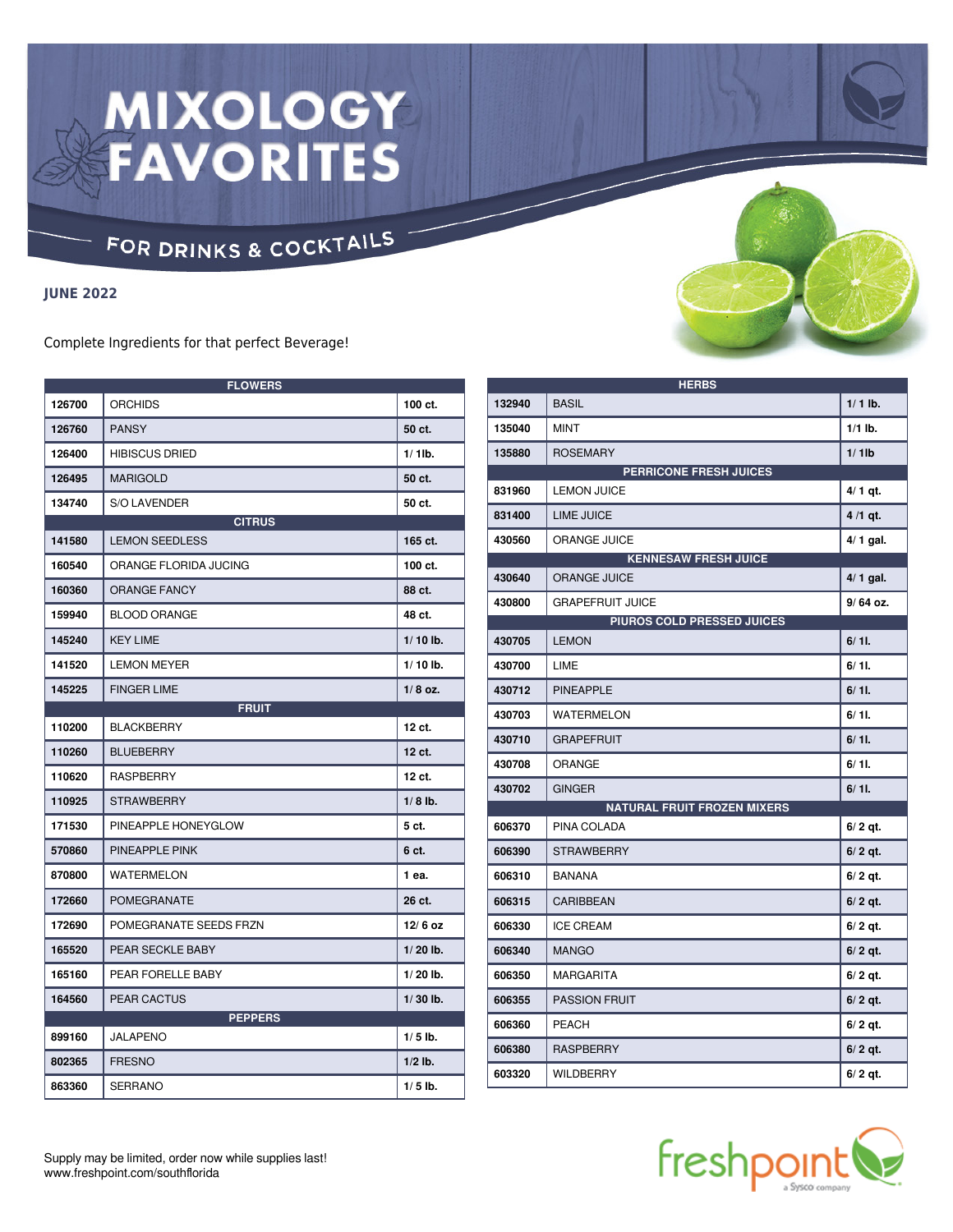# **MIXOLOGY<br>FAVORITES**

### FOR DRINKS & COCKTAILS

#### **JUNE 2022**

Complete Ingredients for that perfect Beverage!

| <b>FLOWERS</b> |                        |            |  |  |
|----------------|------------------------|------------|--|--|
| 126700         | <b>ORCHIDS</b>         | 100 ct.    |  |  |
| 126760         | <b>PANSY</b>           | 50 ct.     |  |  |
| 126400         | <b>HIBISCUS DRIED</b>  | $1/1$ lb.  |  |  |
| 126495         | <b>MARIGOLD</b>        | 50 ct.     |  |  |
| 134740         | <b>S/O LAVENDER</b>    | 50 ct.     |  |  |
| <b>CITRUS</b>  |                        |            |  |  |
| 141580         | <b>LEMON SEEDLESS</b>  | 165 ct.    |  |  |
| 160540         | ORANGE FLORIDA JUCING  | 100 ct.    |  |  |
| 160360         | <b>ORANGE FANCY</b>    | 88 ct.     |  |  |
| 159940         | <b>BLOOD ORANGE</b>    | 48 ct.     |  |  |
| 145240         | <b>KEY LIME</b>        | $1/10$ lb. |  |  |
| 141520         | <b>LEMON MEYER</b>     | $1/10$ lb. |  |  |
| 145225         | <b>FINGER LIME</b>     | $1/8$ oz.  |  |  |
|                | <b>FRUIT</b>           |            |  |  |
| 110200         | <b>BLACKBERRY</b>      | 12 ct.     |  |  |
| 110260         | <b>BLUEBERRY</b>       | 12 ct.     |  |  |
| 110620         | <b>RASPBERRY</b>       | 12 ct.     |  |  |
| 110925         | <b>STRAWBERRY</b>      | $1/8$ lb.  |  |  |
| 171530         | PINEAPPLE HONEYGLOW    | 5 ct.      |  |  |
| 570860         | PINEAPPLE PINK         | 6 ct.      |  |  |
| 870800         | <b>WATERMELON</b>      | 1 ea.      |  |  |
| 172660         | POMEGRANATE            | 26 ct.     |  |  |
| 172690         | POMEGRANATE SEEDS FRZN | $12/6$ oz  |  |  |
| 165520         | PEAR SECKLE BABY       | $1/20$ lb. |  |  |
| 165160         | PEAR FORELLE BABY      | $1/20$ lb. |  |  |
| 164560         | <b>PEAR CACTUS</b>     | $1/30$ lb. |  |  |
| <b>PEPPERS</b> |                        |            |  |  |
| 899160         | JALAPENO               | $1/5$ lb.  |  |  |
| 802365         | <b>FRESNO</b>          | $1/2$ lb.  |  |  |
| 863360         | SERRANO                | $1/5$ lb.  |  |  |



| <b>HERBS</b>               |                                    |            |  |  |
|----------------------------|------------------------------------|------------|--|--|
| 132940                     | <b>BASIL</b>                       | $1/1$ lb.  |  |  |
| 135040                     | <b>MINT</b>                        | $1/1$ lb.  |  |  |
| 135880                     | <b>ROSEMARY</b>                    | $1/1$ lb   |  |  |
|                            | <b>PERRICONE FRESH JUICES</b>      |            |  |  |
| 831960                     | <b>LEMON JUICE</b>                 | $4/1$ qt.  |  |  |
| 831400                     | <b>LIME JUICE</b>                  | 4 /1 gt.   |  |  |
| 430560                     | <b>ORANGE JUICE</b>                | $4/1$ gal. |  |  |
|                            | <b>KENNESAW FRESH JUICE</b>        |            |  |  |
| 430640                     | <b>ORANGE JUICE</b>                | 4/ 1 gal.  |  |  |
| 430800                     | <b>GRAPEFRUIT JUICE</b>            | 9/64 oz.   |  |  |
| PIUROS COLD PRESSED JUICES |                                    |            |  |  |
| 430705                     | <b>LEMON</b>                       | 6/11.      |  |  |
| 430700                     | LIME                               | $6/11$ .   |  |  |
| 430712                     | <b>PINEAPPLE</b>                   | 6/11.      |  |  |
| 430703                     | <b>WATERMELON</b>                  | $6/11$ .   |  |  |
| 430710                     | <b>GRAPEFRUIT</b>                  | 6/11.      |  |  |
| 430708                     | <b>ORANGE</b>                      | 6/11.      |  |  |
| 430702                     | <b>GINGER</b>                      | 6/11.      |  |  |
|                            | <b>NATURAL FRUIT FROZEN MIXERS</b> |            |  |  |
| 606370                     | PINA COLADA                        | 6/2 qt.    |  |  |
| 606390                     | <b>STRAWBERRY</b>                  | $6/2$ qt.  |  |  |
| 606310                     | <b>BANANA</b>                      | $6/2$ qt.  |  |  |
| 606315                     | CARIBBEAN                          | 6/2 qt.    |  |  |
| 606330                     | <b>ICE CREAM</b>                   | $6/2$ qt.  |  |  |
| 606340                     | <b>MANGO</b>                       | $6/2$ qt.  |  |  |
| 606350                     | <b>MARGARITA</b>                   | $6/2$ qt.  |  |  |
| 606355                     | <b>PASSION FRUIT</b>               | 6/2 qt.    |  |  |
| 606360                     | <b>PEACH</b>                       | 6/2 qt.    |  |  |
| 606380                     | <b>RASPBERRY</b>                   | $6/2$ qt.  |  |  |
| 603320                     | <b>WILDBERRY</b>                   | $6/2$ at.  |  |  |